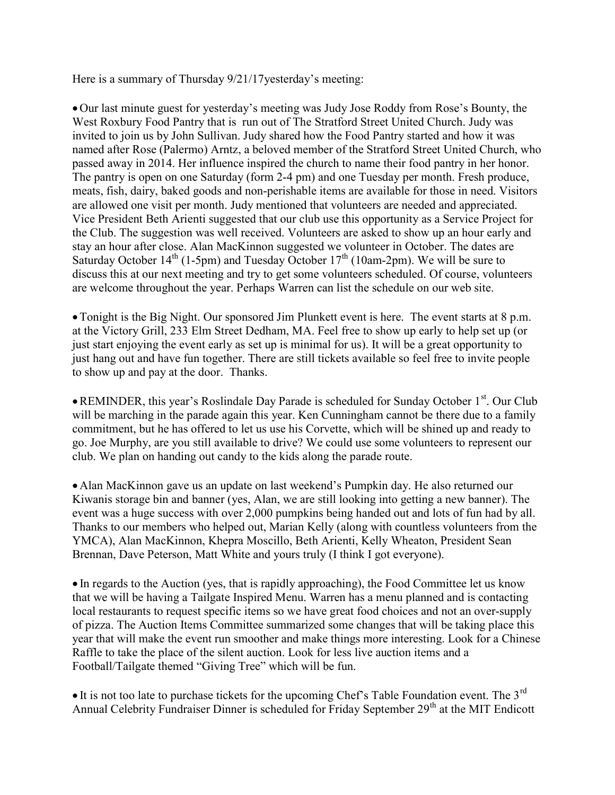Here is a summary of Thursday 9/21/17yesterday's meeting:

 Our last minute guest for yesterday's meeting was Judy Jose Roddy from Rose's Bounty, the West Roxbury Food Pantry that is run out of The Stratford Street United Church. Judy was invited to join us by John Sullivan. Judy shared how the Food Pantry started and how it was named after Rose (Palermo) Arntz, a beloved member of the Stratford Street United Church, who passed away in 2014. Her influence inspired the church to name their food pantry in her honor. The pantry is open on one Saturday (form 2-4 pm) and one Tuesday per month. Fresh produce, meats, fish, dairy, baked goods and non-perishable items are available for those in need. Visitors are allowed one visit per month. Judy mentioned that volunteers are needed and appreciated. Vice President Beth Arienti suggested that our club use this opportunity as a Service Project for the Club. The suggestion was well received. Volunteers are asked to show up an hour early and stay an hour after close. Alan MacKinnon suggested we volunteer in October. The dates are Saturday October  $14<sup>th</sup>$  (1-5pm) and Tuesday October  $17<sup>th</sup>$  (10am-2pm). We will be sure to discuss this at our next meeting and try to get some volunteers scheduled. Of course, volunteers are welcome throughout the year. Perhaps Warren can list the schedule on our web site.

Tonight is the Big Night. Our sponsored Jim Plunkett event is here. The event starts at 8 p.m. at the Victory Grill, 233 Elm Street Dedham, MA. Feel free to show up early to help set up (or just start enjoying the event early as set up is minimal for us). It will be a great opportunity to just hang out and have fun together. There are still tickets available so feel free to invite people to show up and pay at the door. Thanks.

• REMINDER, this year's Roslindale Day Parade is scheduled for Sunday October 1<sup>st</sup>. Our Club will be marching in the parade again this year. Ken Cunningham cannot be there due to a family commitment, but he has offered to let us use his Corvette, which will be shined up and ready to go. Joe Murphy, are you still available to drive? We could use some volunteers to represent our club. We plan on handing out candy to the kids along the parade route.

 Alan MacKinnon gave us an update on last weekend's Pumpkin day. He also returned our Kiwanis storage bin and banner (yes, Alan, we are still looking into getting a new banner). The event was a huge success with over 2,000 pumpkins being handed out and lots of fun had by all. Thanks to our members who helped out, Marian Kelly (along with countless volunteers from the YMCA), Alan MacKinnon, Khepra Moscillo, Beth Arienti, Kelly Wheaton, President Sean Brennan, Dave Peterson, Matt White and yours truly (I think I got everyone).

 In regards to the Auction (yes, that is rapidly approaching), the Food Committee let us know that we will be having a Tailgate Inspired Menu. Warren has a menu planned and is contacting local restaurants to request specific items so we have great food choices and not an over-supply of pizza. The Auction Items Committee summarized some changes that will be taking place this year that will make the event run smoother and make things more interesting. Look for a Chinese Raffle to take the place of the silent auction. Look for less live auction items and a Football/Tailgate themed "Giving Tree" which will be fun.

 $\bullet$  It is not too late to purchase tickets for the upcoming Chef's Table Foundation event. The 3<sup>rd</sup> Annual Celebrity Fundraiser Dinner is scheduled for Friday September 29<sup>th</sup> at the MIT Endicott